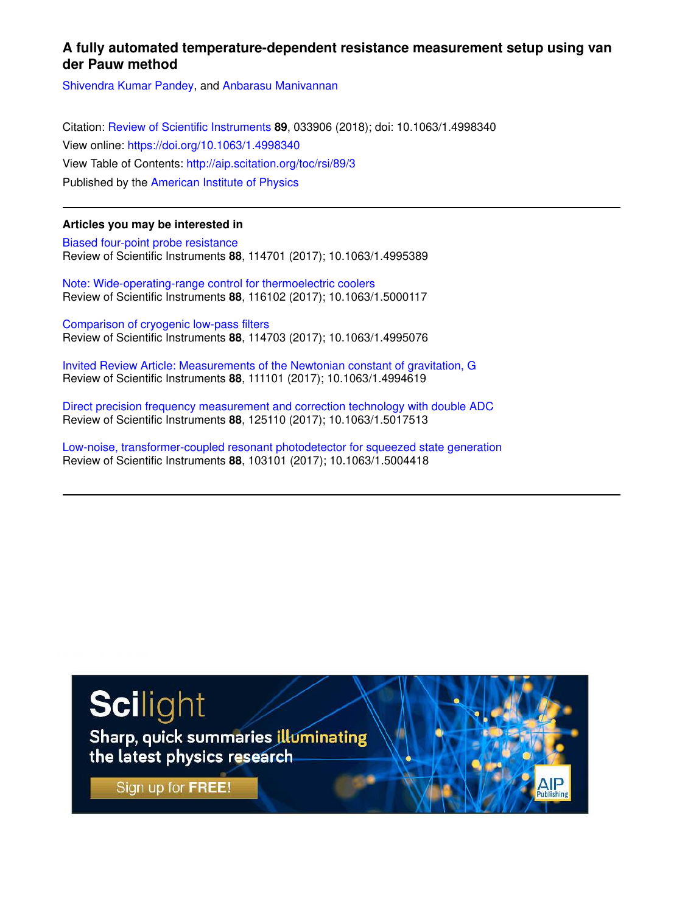# **A fully automated temperature-dependent resistance measurement setup using van der Pauw method**

Shivendra Kumar Pandey, and Anbarasu Manivannan

Citation: Review of Scientific Instruments **89**, 033906 (2018); doi: 10.1063/1.4998340 View online: https://doi.org/10.1063/1.4998340 View Table of Contents: http://aip.scitation.org/toc/rsi/89/3 Published by the American Institute of Physics

# **Articles you may be interested in**

Biased four-point probe resistance Review of Scientific Instruments **88**, 114701 (2017); 10.1063/1.4995389

Note: Wide-operating-range control for thermoelectric coolers Review of Scientific Instruments **88**, 116102 (2017); 10.1063/1.5000117

Comparison of cryogenic low-pass filters Review of Scientific Instruments **88**, 114703 (2017); 10.1063/1.4995076

Invited Review Article: Measurements of the Newtonian constant of gravitation, G Review of Scientific Instruments **88**, 111101 (2017); 10.1063/1.4994619

Direct precision frequency measurement and correction technology with double ADC Review of Scientific Instruments **88**, 125110 (2017); 10.1063/1.5017513

Low-noise, transformer-coupled resonant photodetector for squeezed state generation Review of Scientific Instruments **88**, 103101 (2017); 10.1063/1.5004418



Sharp, quick summaries illuminating the latest physics research

Sign up for FREE!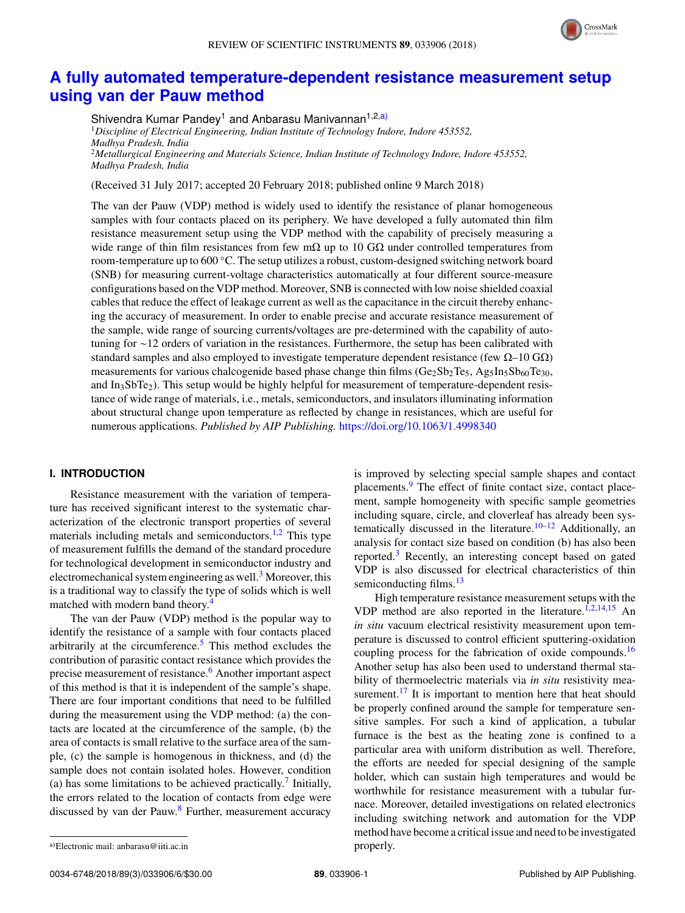

# **A fully automated temperature-dependent resistance measurement setup using van der Pauw method**

Shivendra Kumar Pandey<sup>1</sup> and Anbarasu Manivannan<sup>1,2,a)</sup> <sup>1</sup>*Discipline of Electrical Engineering, Indian Institute of Technology Indore, Indore 453552, Madhya Pradesh, India* <sup>2</sup>*Metallurgical Engineering and Materials Science, Indian Institute of Technology Indore, Indore 453552, Madhya Pradesh, India*

(Received 31 July 2017; accepted 20 February 2018; published online 9 March 2018)

The van der Pauw (VDP) method is widely used to identify the resistance of planar homogeneous samples with four contacts placed on its periphery. We have developed a fully automated thin film resistance measurement setup using the VDP method with the capability of precisely measuring a wide range of thin film resistances from few m $\Omega$  up to 10 G $\Omega$  under controlled temperatures from room-temperature up to 600 ◦C. The setup utilizes a robust, custom-designed switching network board (SNB) for measuring current-voltage characteristics automatically at four different source-measure configurations based on the VDP method. Moreover, SNB is connected with low noise shielded coaxial cables that reduce the effect of leakage current as well as the capacitance in the circuit thereby enhancing the accuracy of measurement. In order to enable precise and accurate resistance measurement of the sample, wide range of sourcing currents/voltages are pre-determined with the capability of autotuning for ∼12 orders of variation in the resistances. Furthermore, the setup has been calibrated with standard samples and also employed to investigate temperature dependent resistance (few  $\Omega$ –10 G $\Omega$ ) measurements for various chalcogenide based phase change thin films  $(Ge_2Sb_2Te_5, Ag_5In_5Sb_{60}Te_{30},$ and  $In<sub>3</sub>SbTe<sub>2</sub>$ ). This setup would be highly helpful for measurement of temperature-dependent resistance of wide range of materials, i.e., metals, semiconductors, and insulators illuminating information about structural change upon temperature as reflected by change in resistances, which are useful for numerous applications. *Published by AIP Publishing.* https://doi.org/10.1063/1.4998340

## **I. INTRODUCTION**

Resistance measurement with the variation of temperature has received significant interest to the systematic characterization of the electronic transport properties of several materials including metals and semiconductors. $1,2$  This type of measurement fulfills the demand of the standard procedure for technological development in semiconductor industry and electromechanical system engineering as well.<sup>3</sup> Moreover, this is a traditional way to classify the type of solids which is well matched with modern band theory.<sup>4</sup>

The van der Pauw (VDP) method is the popular way to identify the resistance of a sample with four contacts placed arbitrarily at the circumference.<sup>5</sup> This method excludes the contribution of parasitic contact resistance which provides the precise measurement of resistance.<sup>6</sup> Another important aspect of this method is that it is independent of the sample's shape. There are four important conditions that need to be fulfilled during the measurement using the VDP method: (a) the contacts are located at the circumference of the sample, (b) the area of contacts is small relative to the surface area of the sample, (c) the sample is homogenous in thickness, and (d) the sample does not contain isolated holes. However, condition (a) has some limitations to be achieved practically.<sup>7</sup> Initially, the errors related to the location of contacts from edge were discussed by van der Pauw.<sup>8</sup> Further, measurement accuracy

is improved by selecting special sample shapes and contact placements.<sup>9</sup> The effect of finite contact size, contact placement, sample homogeneity with specific sample geometries including square, circle, and cloverleaf has already been systematically discussed in the literature.<sup>10–12</sup> Additionally, an analysis for contact size based on condition (b) has also been reported.<sup>3</sup> Recently, an interesting concept based on gated VDP is also discussed for electrical characteristics of thin semiconducting films.<sup>13</sup>

High temperature resistance measurement setups with the VDP method are also reported in the literature.<sup>1,2,14,15</sup> An *in situ* vacuum electrical resistivity measurement upon temperature is discussed to control efficient sputtering-oxidation coupling process for the fabrication of oxide compounds.<sup>16</sup> Another setup has also been used to understand thermal stability of thermoelectric materials via *in situ* resistivity measurement.<sup>17</sup> It is important to mention here that heat should be properly confined around the sample for temperature sensitive samples. For such a kind of application, a tubular furnace is the best as the heating zone is confined to a particular area with uniform distribution as well. Therefore, the efforts are needed for special designing of the sample holder, which can sustain high temperatures and would be worthwhile for resistance measurement with a tubular furnace. Moreover, detailed investigations on related electronics including switching network and automation for the VDP method have become a critical issue and need to be investigated properly.

a)Electronic mail: anbarasu@iiti.ac.in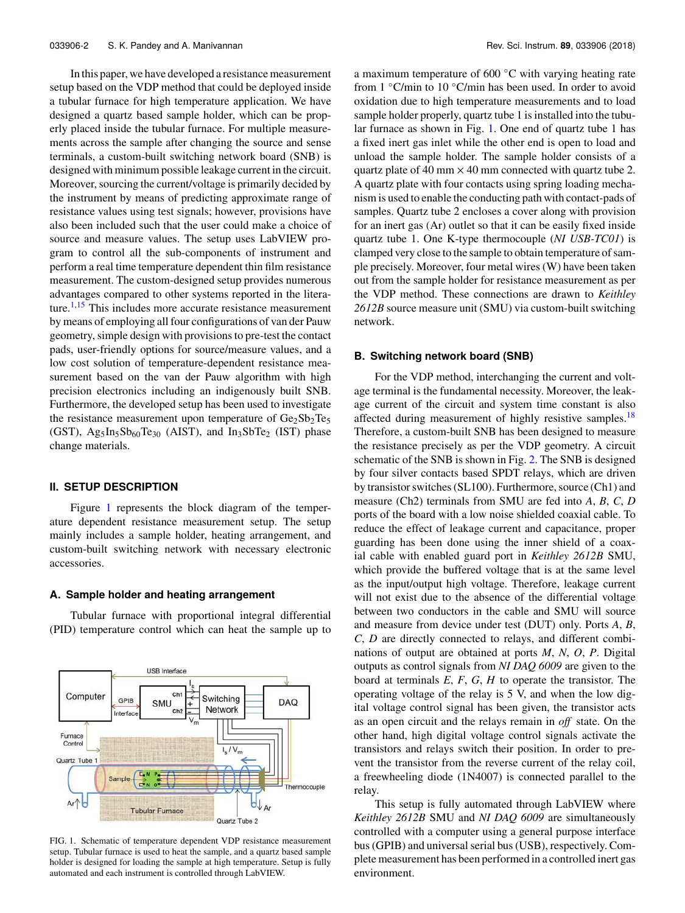In this paper, we have developed a resistance measurement setup based on the VDP method that could be deployed inside a tubular furnace for high temperature application. We have designed a quartz based sample holder, which can be properly placed inside the tubular furnace. For multiple measurements across the sample after changing the source and sense terminals, a custom-built switching network board (SNB) is designed with minimum possible leakage current in the circuit. Moreover, sourcing the current/voltage is primarily decided by the instrument by means of predicting approximate range of resistance values using test signals; however, provisions have also been included such that the user could make a choice of source and measure values. The setup uses LabVIEW program to control all the sub-components of instrument and perform a real time temperature dependent thin film resistance measurement. The custom-designed setup provides numerous advantages compared to other systems reported in the literature. $1,15$  This includes more accurate resistance measurement by means of employing all four configurations of van der Pauw geometry, simple design with provisions to pre-test the contact pads, user-friendly options for source/measure values, and a low cost solution of temperature-dependent resistance measurement based on the van der Pauw algorithm with high precision electronics including an indigenously built SNB. Furthermore, the developed setup has been used to investigate the resistance measurement upon temperature of  $Ge_2Sb_2Te_5$ (GST),  $Ag_5In_5Sb_{60}Te_{30}$  (AIST), and  $In_3SbTe_2$  (IST) phase change materials.

### **II. SETUP DESCRIPTION**

Figure 1 represents the block diagram of the temperature dependent resistance measurement setup. The setup mainly includes a sample holder, heating arrangement, and custom-built switching network with necessary electronic accessories.

#### **A. Sample holder and heating arrangement**

Tubular furnace with proportional integral differential (PID) temperature control which can heat the sample up to



FIG. 1. Schematic of temperature dependent VDP resistance measurement setup. Tubular furnace is used to heat the sample, and a quartz based sample holder is designed for loading the sample at high temperature. Setup is fully automated and each instrument is controlled through LabVIEW.

a maximum temperature of 600 ◦C with varying heating rate from 1 ◦C/min to 10 ◦C/min has been used. In order to avoid oxidation due to high temperature measurements and to load sample holder properly, quartz tube 1 is installed into the tubular furnace as shown in Fig. 1. One end of quartz tube 1 has a fixed inert gas inlet while the other end is open to load and unload the sample holder. The sample holder consists of a quartz plate of 40 mm  $\times$  40 mm connected with quartz tube 2. A quartz plate with four contacts using spring loading mechanism is used to enable the conducting path with contact-pads of samples. Quartz tube 2 encloses a cover along with provision for an inert gas (Ar) outlet so that it can be easily fixed inside quartz tube 1. One K-type thermocouple (*NI USB-TC01*) is clamped very close to the sample to obtain temperature of sample precisely. Moreover, four metal wires (W) have been taken out from the sample holder for resistance measurement as per the VDP method. These connections are drawn to *Keithley 2612B* source measure unit (SMU) via custom-built switching network.

#### **B. Switching network board (SNB)**

For the VDP method, interchanging the current and voltage terminal is the fundamental necessity. Moreover, the leakage current of the circuit and system time constant is also affected during measurement of highly resistive samples.<sup>18</sup> Therefore, a custom-built SNB has been designed to measure the resistance precisely as per the VDP geometry. A circuit schematic of the SNB is shown in Fig. 2. The SNB is designed by four silver contacts based SPDT relays, which are driven by transistor switches (SL100). Furthermore, source (Ch1) and measure (Ch2) terminals from SMU are fed into *A*, *B*, *C*, *D* ports of the board with a low noise shielded coaxial cable. To reduce the effect of leakage current and capacitance, proper guarding has been done using the inner shield of a coaxial cable with enabled guard port in *Keithley 2612B* SMU, which provide the buffered voltage that is at the same level as the input/output high voltage. Therefore, leakage current will not exist due to the absence of the differential voltage between two conductors in the cable and SMU will source and measure from device under test (DUT) only. Ports *A*, *B*, *C*, *D* are directly connected to relays, and different combinations of output are obtained at ports *M*, *N*, *O*, *P*. Digital outputs as control signals from *NI DAQ 6009* are given to the board at terminals *E*, *F*, *G*, *H* to operate the transistor. The operating voltage of the relay is 5 V, and when the low digital voltage control signal has been given, the transistor acts as an open circuit and the relays remain in *off* state. On the other hand, high digital voltage control signals activate the transistors and relays switch their position. In order to prevent the transistor from the reverse current of the relay coil, a freewheeling diode (1N4007) is connected parallel to the relay.

This setup is fully automated through LabVIEW where *Keithley 2612B* SMU and *NI DAQ 6009* are simultaneously controlled with a computer using a general purpose interface bus (GPIB) and universal serial bus (USB), respectively. Complete measurement has been performed in a controlled inert gas environment.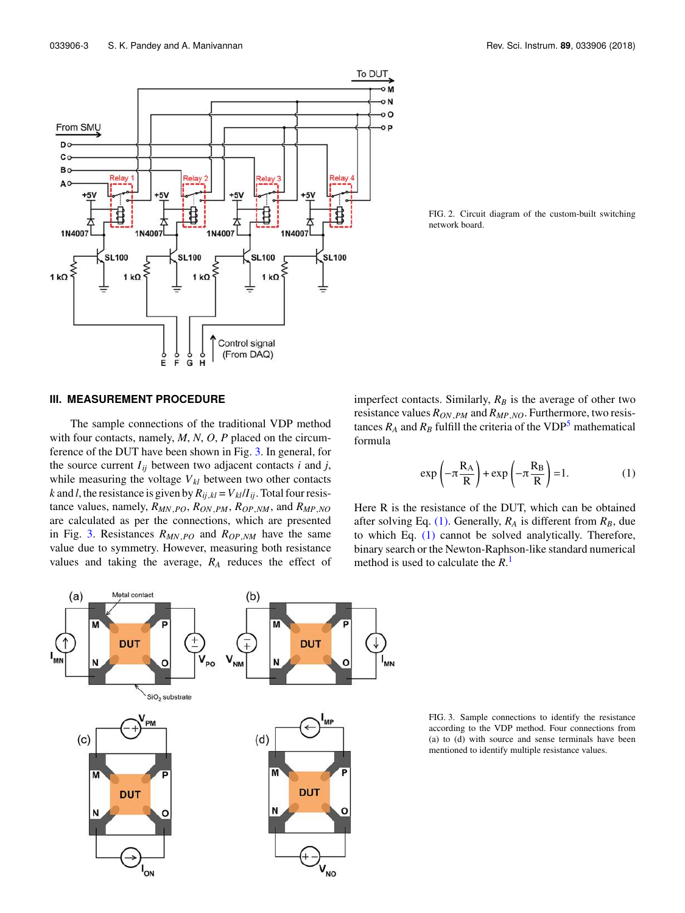

FIG. 2. Circuit diagram of the custom-built switching network board.

### **III. MEASUREMENT PROCEDURE**

The sample connections of the traditional VDP method with four contacts, namely, *M*, *N*, *O*, *P* placed on the circumference of the DUT have been shown in Fig. 3. In general, for the source current  $I_{ij}$  between two adjacent contacts *i* and *j*, while measuring the voltage  $V_{kl}$  between two other contacts *k* and *l*, the resistance is given by  $R_{ij,kl} = V_{kl}/I_{ij}$ . Total four resistance values, namely, *RMN*,*PO*, *RON*,*PM*, *ROP*,*NM*, and *RMP*,*NO* are calculated as per the connections, which are presented in Fig. 3. Resistances *RMN*,*PO* and *ROP*,*NM* have the same value due to symmetry. However, measuring both resistance values and taking the average, *R<sup>A</sup>* reduces the effect of imperfect contacts. Similarly, *R<sup>B</sup>* is the average of other two resistance values *RON*,*PM* and *RMP*,*NO*. Furthermore, two resistances  $R_A$  and  $R_B$  fulfill the criteria of the VDP<sup>5</sup> mathematical formula

$$
\exp\left(-\pi \frac{R_A}{R}\right) + \exp\left(-\pi \frac{R_B}{R}\right) = 1. \tag{1}
$$

Here R is the resistance of the DUT, which can be obtained after solving Eq. (1). Generally,  $R_A$  is different from  $R_B$ , due to which Eq. (1) cannot be solved analytically. Therefore, binary search or the Newton-Raphson-like standard numerical method is used to calculate the *R*. 1



FIG. 3. Sample connections to identify the resistance according to the VDP method. Four connections from (a) to (d) with source and sense terminals have been mentioned to identify multiple resistance values.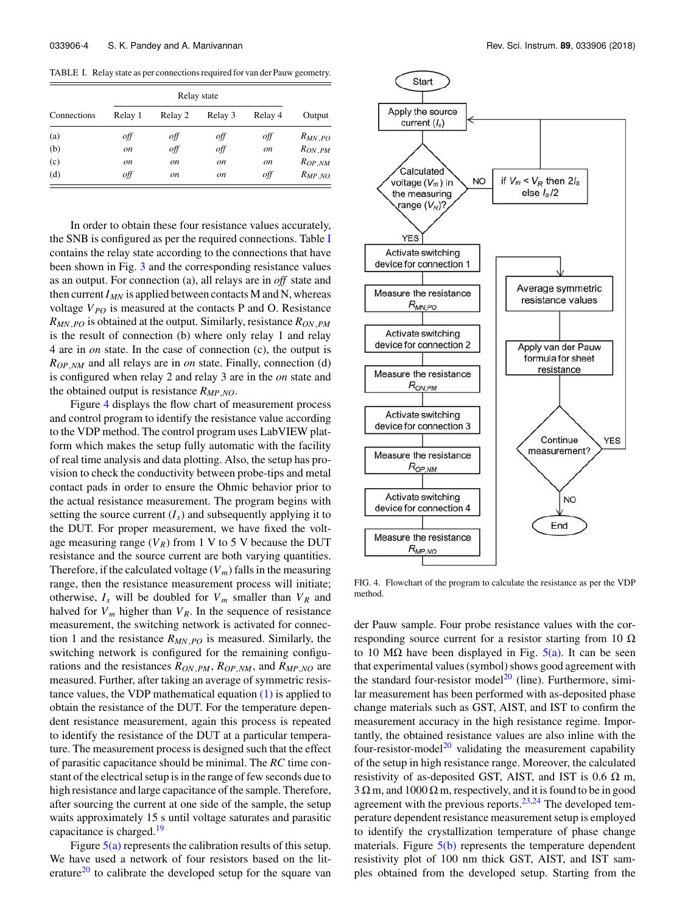TABLE I. Relay state as per connections required for van der Pauw geometry.

| Connections | Relay state   |               |               |               |             |
|-------------|---------------|---------------|---------------|---------------|-------------|
|             | Relay 1       | Relay 2       | Relay 3       | Relay 4       | Output      |
| (a)         | off           | off           | off           | off           | $R_{MN,PO}$ |
| (b)         | on            | off           | off           | <sub>on</sub> | $R_{ON,PM}$ |
| (c)         | <sub>on</sub> | <sub>on</sub> | <sub>on</sub> | <sub>on</sub> | $R_{OP,NM}$ |
| (d)         | off           | on            | <sub>on</sub> | off           | $R_{MP,NO}$ |

In order to obtain these four resistance values accurately, the SNB is configured as per the required connections. Table I contains the relay state according to the connections that have been shown in Fig. 3 and the corresponding resistance values as an output. For connection (a), all relays are in *off* state and then current  $I_{MN}$  is applied between contacts M and N, whereas voltage  $V_{PO}$  is measured at the contacts P and O. Resistance *RMN*,*PO* is obtained at the output. Similarly, resistance *RON*,*PM* is the result of connection (b) where only relay 1 and relay 4 are in *on* state. In the case of connection (c), the output is *ROP*,*NM* and all relays are in *on* state. Finally, connection (d) is configured when relay 2 and relay 3 are in the *on* state and the obtained output is resistance *RMP*,*NO*.

Figure 4 displays the flow chart of measurement process and control program to identify the resistance value according to the VDP method. The control program uses LabVIEW platform which makes the setup fully automatic with the facility of real time analysis and data plotting. Also, the setup has provision to check the conductivity between probe-tips and metal contact pads in order to ensure the Ohmic behavior prior to the actual resistance measurement. The program begins with setting the source current  $(I_s)$  and subsequently applying it to the DUT. For proper measurement, we have fixed the voltage measuring range  $(V_R)$  from 1 V to 5 V because the DUT resistance and the source current are both varying quantities. Therefore, if the calculated voltage  $(V_m)$  falls in the measuring range, then the resistance measurement process will initiate; otherwise,  $I_s$  will be doubled for  $V_m$  smaller than  $V_R$  and halved for  $V_m$  higher than  $V_R$ . In the sequence of resistance measurement, the switching network is activated for connection 1 and the resistance *RMN*,*PO* is measured. Similarly, the switching network is configured for the remaining configurations and the resistances *RON*,*PM*, *ROP*,*NM*, and *RMP*,*NO* are measured. Further, after taking an average of symmetric resistance values, the VDP mathematical equation  $(1)$  is applied to obtain the resistance of the DUT. For the temperature dependent resistance measurement, again this process is repeated to identify the resistance of the DUT at a particular temperature. The measurement process is designed such that the effect of parasitic capacitance should be minimal. The *RC* time constant of the electrical setup is in the range of few seconds due to high resistance and large capacitance of the sample. Therefore, after sourcing the current at one side of the sample, the setup waits approximately 15 s until voltage saturates and parasitic capacitance is charged. $19$ 

Figure  $5(a)$  represents the calibration results of this setup. We have used a network of four resistors based on the literature<sup>20</sup> to calibrate the developed setup for the square van



FIG. 4. Flowchart of the program to calculate the resistance as per the VDP method.

der Pauw sample. Four probe resistance values with the corresponding source current for a resistor starting from 10  $\Omega$ to 10 MΩ have been displayed in Fig.  $5(a)$ . It can be seen that experimental values (symbol) shows good agreement with the standard four-resistor model<sup>20</sup> (line). Furthermore, similar measurement has been performed with as-deposited phase change materials such as GST, AIST, and IST to confirm the measurement accuracy in the high resistance regime. Importantly, the obtained resistance values are also inline with the four-resistor-model<sup>20</sup> validating the measurement capability of the setup in high resistance range. Moreover, the calculated resistivity of as-deposited GST, AIST, and IST is 0.6  $\Omega$  m,  $3 \Omega$  m, and  $1000 \Omega$  m, respectively, and it is found to be in good agreement with the previous reports. $23,24$  The developed temperature dependent resistance measurement setup is employed to identify the crystallization temperature of phase change materials. Figure  $5(b)$  represents the temperature dependent resistivity plot of 100 nm thick GST, AIST, and IST samples obtained from the developed setup. Starting from the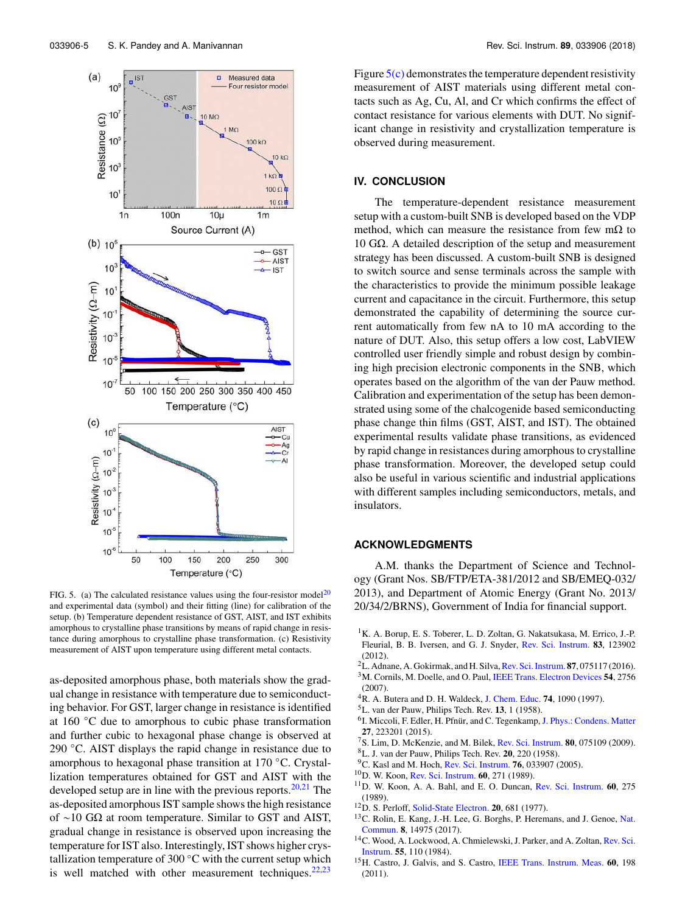

FIG. 5. (a) The calculated resistance values using the four-resistor model<sup>20</sup> and experimental data (symbol) and their fitting (line) for calibration of the setup. (b) Temperature dependent resistance of GST, AIST, and IST exhibits amorphous to crystalline phase transitions by means of rapid change in resistance during amorphous to crystalline phase transformation. (c) Resistivity measurement of AIST upon temperature using different metal contacts.

as-deposited amorphous phase, both materials show the gradual change in resistance with temperature due to semiconducting behavior. For GST, larger change in resistance is identified at 160 ◦C due to amorphous to cubic phase transformation and further cubic to hexagonal phase change is observed at 290 ◦C. AIST displays the rapid change in resistance due to amorphous to hexagonal phase transition at 170 ◦C. Crystallization temperatures obtained for GST and AIST with the developed setup are in line with the previous reports. $20,21$  The as-deposited amorphous IST sample shows the high resistance of ∼10 GΩ at room temperature. Similar to GST and AIST, gradual change in resistance is observed upon increasing the temperature for IST also. Interestingly, IST shows higher crystallization temperature of 300 $°C$  with the current setup which is well matched with other measurement techniques. $22,23$ 

Figure  $5(c)$  demonstrates the temperature dependent resistivity measurement of AIST materials using different metal contacts such as Ag, Cu, Al, and Cr which confirms the effect of contact resistance for various elements with DUT. No significant change in resistivity and crystallization temperature is observed during measurement.

#### **IV. CONCLUSION**

The temperature-dependent resistance measurement setup with a custom-built SNB is developed based on the VDP method, which can measure the resistance from few m $\Omega$  to 10 GΩ. A detailed description of the setup and measurement strategy has been discussed. A custom-built SNB is designed to switch source and sense terminals across the sample with the characteristics to provide the minimum possible leakage current and capacitance in the circuit. Furthermore, this setup demonstrated the capability of determining the source current automatically from few nA to 10 mA according to the nature of DUT. Also, this setup offers a low cost, LabVIEW controlled user friendly simple and robust design by combining high precision electronic components in the SNB, which operates based on the algorithm of the van der Pauw method. Calibration and experimentation of the setup has been demonstrated using some of the chalcogenide based semiconducting phase change thin films (GST, AIST, and IST). The obtained experimental results validate phase transitions, as evidenced by rapid change in resistances during amorphous to crystalline phase transformation. Moreover, the developed setup could also be useful in various scientific and industrial applications with different samples including semiconductors, metals, and insulators.

#### **ACKNOWLEDGMENTS**

A.M. thanks the Department of Science and Technology (Grant Nos. SB/FTP/ETA-381/2012 and SB/EMEQ-032/ 2013), and Department of Atomic Energy (Grant No. 2013/ 20/34/2/BRNS), Government of India for financial support.

- <sup>1</sup>K. A. Borup, E. S. Toberer, L. D. Zoltan, G. Nakatsukasa, M. Errico, J.-P. Fleurial, B. B. Iversen, and G. J. Snyder, Rev. Sci. Instrum. **83**, 123902 (2012).
- <sup>2</sup>L. Adnane, A. Gokirmak, and H. Silva, Rev. Sci. Instrum. **87**, 075117 (2016).
- <sup>3</sup>M. Cornils, M. Doelle, and O. Paul, IEEE Trans. Electron Devices **54**, 2756 (2007).
- <sup>4</sup>R. A. Butera and D. H. Waldeck, J. Chem. Educ. **74**, 1090 (1997).
- <sup>5</sup>L. van der Pauw, Philips Tech. Rev. **13**, 1 (1958).
- <sup>6</sup>I. Miccoli, F. Edler, H. Pfnür, and C. Tegenkamp, J. Phys.: Condens. Matter **27**, 223201 (2015).
- <sup>7</sup>S. Lim, D. McKenzie, and M. Bilek, Rev. Sci. Instrum. **80**, 075109 (2009).
- <sup>8</sup>L. J. van der Pauw, Philips Tech. Rev. **20**, 220 (1958).
- <sup>9</sup>C. Kasl and M. Hoch, Rev. Sci. Instrum. **76**, 033907 (2005).
- <sup>10</sup>D. W. Koon, Rev. Sci. Instrum. **60**, 271 (1989).
- <sup>11</sup>D. W. Koon, A. A. Bahl, and E. O. Duncan, Rev. Sci. Instrum. **60**, 275 (1989).
- <sup>12</sup>D. S. Perloff, Solid-State Electron. **20**, 681 (1977).
- <sup>13</sup>C. Rolin, E. Kang, J.-H. Lee, G. Borghs, P. Heremans, and J. Genoe, Nat. Commun. **8**, 14975 (2017).
- <sup>14</sup>C. Wood, A. Lockwood, A. Chmielewski, J. Parker, and A. Zoltan, Rev. Sci. Instrum. **55**, 110 (1984).
- <sup>15</sup>H. Castro, J. Galvis, and S. Castro, IEEE Trans. Instrum. Meas. **60**, 198 (2011).